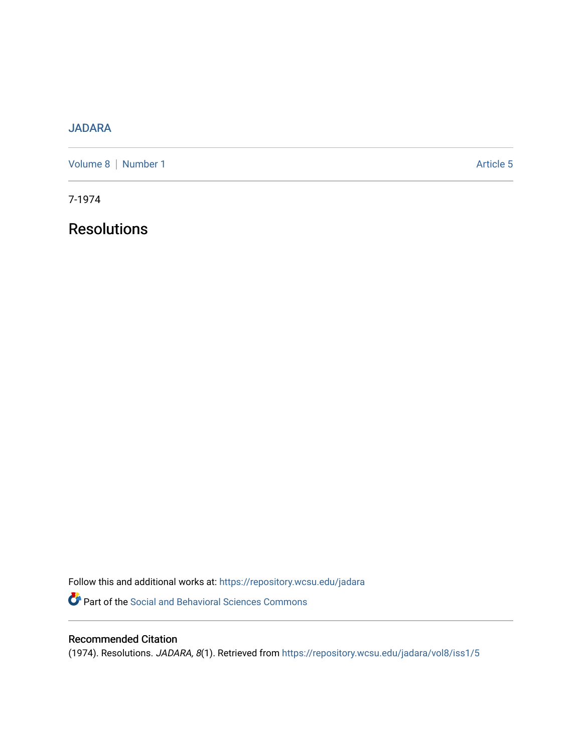# [JADARA](https://repository.wcsu.edu/jadara)

[Volume 8](https://repository.wcsu.edu/jadara/vol8) | [Number 1](https://repository.wcsu.edu/jadara/vol8/iss1) Article 5

7-1974

**Resolutions** 

Follow this and additional works at: [https://repository.wcsu.edu/jadara](https://repository.wcsu.edu/jadara?utm_source=repository.wcsu.edu%2Fjadara%2Fvol8%2Fiss1%2F5&utm_medium=PDF&utm_campaign=PDFCoverPages) Part of the [Social and Behavioral Sciences Commons](http://network.bepress.com/hgg/discipline/316?utm_source=repository.wcsu.edu%2Fjadara%2Fvol8%2Fiss1%2F5&utm_medium=PDF&utm_campaign=PDFCoverPages) 

# Recommended Citation

(1974). Resolutions. JADARA, 8(1). Retrieved from [https://repository.wcsu.edu/jadara/vol8/iss1/5](https://repository.wcsu.edu/jadara/vol8/iss1/5?utm_source=repository.wcsu.edu%2Fjadara%2Fvol8%2Fiss1%2F5&utm_medium=PDF&utm_campaign=PDFCoverPages)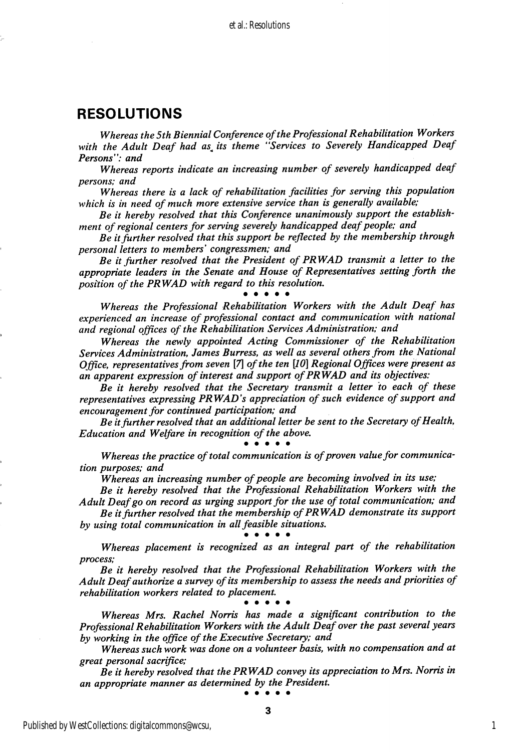## RESOLUTIONS

Whereas the 5th Biennial Conference of the Professional Rehabilitation Workers with the Adult Deaf had as its theme "Services to Severely Handicapped Deaf Persons": and

Whereas reports indicate an increasing number of severely handicapped deaf persons; and

Whereas there is a lack of rehabilitation facilities for serving this population which is in need of much more extensive service than is generally available;

Be it hereby resolved that this Conference unanimously support the establish ment of regional centers for serving severely handicapped deaf people; and

Be it further resolved that this support be reflected by the membership through personal letters to members' congressmen; and

Be it further resolved that the President of PRWAD transmit a letter to the appropriate leaders in the Senate and House of Representatives setting forth the position of the PRWAD with regard to this resolution.<br>• • • • • •

Whereas the Professional Rehabilitation Workers with the Adult Deaf has experienced an increase of professional contact and communication with national and regional offices of the Rehabilitation Services Administration; and

Whereas the newly appointed Acting Commissioner of the Rehabilitation Services Administration, James Burress, as well as several others from the National Office, representatives from seven  $[7]$  of the ten  $[10]$  Regional Offices were present as an apparent expression of interest and support of PRWAD and its objectives:

Be it hereby resolved that the Secretary transmit a letter to each of these representatives expressing PRWAD's appreciation of such evidence of support and encouragement for continued participation; and

Be it further resolved that an additional letter be sent to the Secretary of Health, Education and Welfare in recognition of the above,

### • • • • •

Whereas the practice of total communication is of proven value for communica tion purposes; and

Whereas an increasing number of people are becoming involved in its use;

Be it hereby resolved that the Professional Rehabilitation Workers with the Adult Deaf go on record as urging support for the use of total communication; and

Be it further resolved that the membership of PRWAD demonstrate its support by using total communication in all feasible situations.<br>• • • • • •

Whereas placement is recognized as an integral part of the rehabilitation process;

Be it hereby resolved that the Professional Rehabilitation Workers with the Adult Deaf authorize a survey of its membership to assess the needs and priorities of rehabilitation workers related to placement, • • • • •

Whereas Mrs, Rachel Norris has made a significant contribution to the Professional Rehabilitation Workers with the Adult Deaf over the past several years by working in the office of the Executive Secretary; and

Whereas such work was done on a volunteer basis, with no compensation and at great personal sacrifice;

Be it hereby resolved that the PRWAD convey its appreciation to Mrs. Norris in an appropriate manner as determined by the President, • • • • •

3